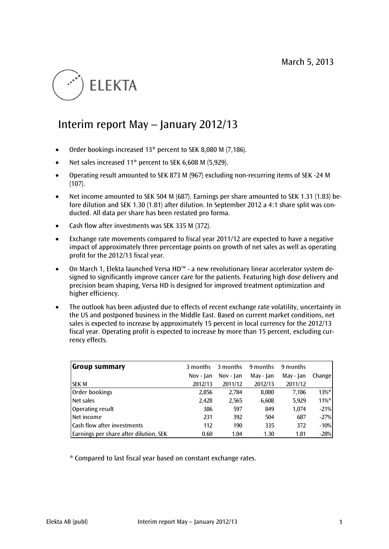# **ELEKTA**

# Interim report May – January 2012/13

- Order bookings increased 13\* percent to SEK 8,080 M (7,186).
- Net sales increased 11\* percent to SEK 6,608 M (5,929).
- Operating result amounted to SEK 873 M (967) excluding non-recurring items of SEK -24 M  $(107).$
- Net income amounted to SEK 504 M (687). Earnings per share amounted to SEK 1.31 (1.83) before dilution and SEK 1.30 (1.81) after dilution. In September 2012 a 4:1 share split was conducted. All data per share has been restated pro forma.
- Cash flow after investments was SEK 335 M (372).
- Exchange rate movements compared to fiscal year 2011/12 are expected to have a negative impact of approximately three percentage points on growth of net sales as well as operating profit for the 2012/13 fiscal year.
- On March 1, Elekta launched Versa HD™ a new revolutionary linear accelerator system designed to significantly improve cancer care for the patients. Featuring high dose delivery and precision beam shaping, Versa HD is designed for improved treatment optimization and higher efficiency.
- The outlook has been adjusted due to effects of recent exchange rate volatility, uncertainty in the US and postponed business in the Middle East. Based on current market conditions, net sales is expected to increase by approximately 15 percent in local currency for the 2012/13 fiscal year. Operating profit is expected to increase by more than 15 percent, excluding currency effects.

| Group summary                          | 3 months  | 3 months  | 9 months  | 9 months  |               |
|----------------------------------------|-----------|-----------|-----------|-----------|---------------|
|                                        | Nov - Jan | Nov - Jan | May - Jan | May - Jan | <b>Change</b> |
| <b>SEK M</b>                           | 2012/13   | 2011/12   | 2012/13   | 2011/12   |               |
| Order bookings                         | 2,856     | 2,784     | 8,080     | 7.186     | $13\%$ *      |
| Net sales                              | 2,428     | 2,565     | 6,608     | 5,929     | $11\%$ *      |
| Operating result                       | 386       | 597       | 849       | 1,074     | $-21%$        |
| Net income                             | 231       | 392       | 504       | 687       | $-27%$        |
| <b>Cash flow after investments</b>     | 112       | 190       | 335       | 372       | $-10%$        |
| Earnings per share after dilution, SEK | 0.60      | 1.04      | 1.30      | 1.81      | $-28%$        |

\* Compared to last fiscal year based on constant exchange rates.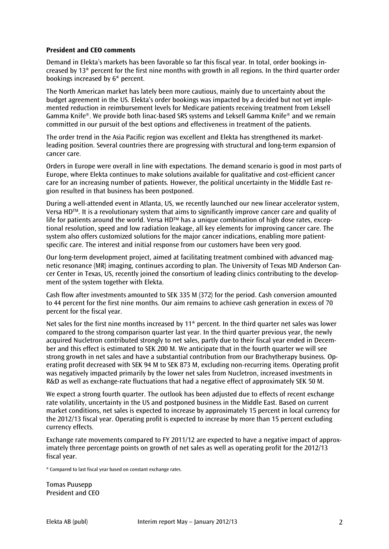# **President and CEO comments**

Demand in Elekta's markets has been favorable so far this fiscal year. In total, order bookings increased by 13\* percent for the first nine months with growth in all regions. In the third quarter order bookings increased by 6\* percent.

The North American market has lately been more cautious, mainly due to uncertainty about the budget agreement in the US. Elekta's order bookings was impacted by a decided but not yet implemented reduction in reimbursement levels for Medicare patients receiving treatment from Leksell Gamma Knife®. We provide both linac-based SRS systems and Leksell Gamma Knife® and we remain committed in our pursuit of the best options and effectiveness in treatment of the patients.

The order trend in the Asia Pacific region was excellent and Elekta has strengthened its marketleading position. Several countries there are progressing with structural and long-term expansion of cancer care.

Orders in Europe were overall in line with expectations. The demand scenario is good in most parts of Europe, where Elekta continues to make solutions available for qualitative and cost-efficient cancer care for an increasing number of patients. However, the political uncertainty in the Middle East region resulted in that business has been postponed.

During a well-attended event in Atlanta, US, we recently launched our new linear accelerator system, Versa HDTM. It is a revolutionary system that aims to significantly improve cancer care and quality of life for patients around the world. Versa HD<sup>™</sup> has a unique combination of high dose rates, exceptional resolution, speed and low radiation leakage, all key elements for improving cancer care. The system also offers customized solutions for the major cancer indications, enabling more patientspecific care. The interest and initial response from our customers have been very good.

Our long-term development project, aimed at facilitating treatment combined with advanced magnetic resonance (MR) imaging, continues according to plan. The University of Texas MD Anderson Cancer Center in Texas, US, recently joined the consortium of leading clinics contributing to the development of the system together with Elekta.

Cash flow after investments amounted to SEK 335 M (372) for the period. Cash conversion amounted to 44 percent for the first nine months. Our aim remains to achieve cash generation in excess of 70 percent for the fiscal year.

Net sales for the first nine months increased by 11\* percent. In the third quarter net sales was lower compared to the strong comparison quarter last year. In the third quarter previous year, the newly acquired Nucletron contributed strongly to net sales, partly due to their fiscal year ended in December and this effect is estimated to SEK 200 M. We anticipate that in the fourth quarter we will see strong growth in net sales and have a substantial contribution from our Brachytherapy business. Operating profit decreased with SEK 94 M to SEK 873 M, excluding non-recurring items. Operating profit was negatively impacted primarily by the lower net sales from Nucletron, increased investments in R&D as well as exchange-rate fluctuations that had a negative effect of approximately SEK 50 M.

We expect a strong fourth quarter. The outlook has been adjusted due to effects of recent exchange rate volatility, uncertainty in the US and postponed business in the Middle East. Based on current market conditions, net sales is expected to increase by approximately 15 percent in local currency for the 2012/13 fiscal year. Operating profit is expected to increase by more than 15 percent excluding currency effects.

Exchange rate movements compared to FY 2011/12 are expected to have a negative impact of approximately three percentage points on growth of net sales as well as operating profit for the 2012/13 fiscal year.

\* Compared to last fiscal year based on constant exchange rates.

Tomas Puusepp President and CEO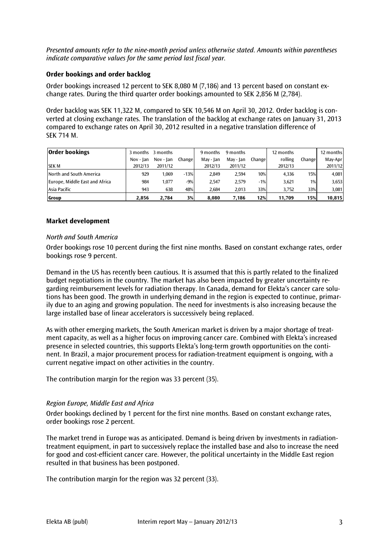*Presented amounts refer to the nine-month period unless otherwise stated. Amounts within parentheses indicate comparative values for the same period last fiscal year.* 

# **Order bookings and order backlog**

Order bookings increased 12 percent to SEK 8,080 M (7,186) and 13 percent based on constant exchange rates. During the third quarter order bookings amounted to SEK 2,856 M (2,784).

Order backlog was SEK 11,322 M, compared to SEK 10,546 M on April 30, 2012. Order backlog is converted at closing exchange rates. The translation of the backlog at exchange rates on January 31, 2013 compared to exchange rates on April 30, 2012 resulted in a negative translation difference of SEK 714 M.

| <b>Order bookings</b>          | 3 months  | 3 months  |         | 9 months  | 9 months  |         | 12 months |        | 12 months |
|--------------------------------|-----------|-----------|---------|-----------|-----------|---------|-----------|--------|-----------|
|                                | Nov - Ian | Nov - Jan | Changel | May - Jan | May - Jan | Changel | rolling   | Change | May-Apr   |
| <b>SEK M</b>                   | 2012/13   | 2011/12   |         | 2012/13   | 2011/12   |         | 2012/13   |        | 2011/12   |
| North and South America        | 929       | 1.069     | $-13%$  | 2.849     | 2,594     | 10%     | 4.336     | 15%    | 4,081     |
| Europe, Middle East and Africa | 984       | 1.077     | $-9%$   | 2.547     | 2,579     | $-1%$   | 3,621     | $1\%$  | 3,653     |
| Asia Pacific                   | 943       | 638       | 48%     | 2.684     | 2,013     | 33%     | 3.752     | 33%    | 3,081     |
| Group                          | 2.856     | 2.784     | 3%      | 8,080     | 7,186     | 12%     | 11,709    | 15%    | 10,815    |

# **Market development**

#### *North and South America*

Order bookings rose 10 percent during the first nine months. Based on constant exchange rates, order bookings rose 9 percent.

Demand in the US has recently been cautious. It is assumed that this is partly related to the finalized budget negotiations in the country. The market has also been impacted by greater uncertainty regarding reimbursement levels for radiation therapy. In Canada, demand for Elekta's cancer care solutions has been good. The growth in underlying demand in the region is expected to continue, primarily due to an aging and growing population. The need for investments is also increasing because the large installed base of linear accelerators is successively being replaced.

As with other emerging markets, the South American market is driven by a major shortage of treatment capacity, as well as a higher focus on improving cancer care. Combined with Elekta's increased presence in selected countries, this supports Elekta's long-term growth opportunities on the continent. In Brazil, a major procurement process for radiation-treatment equipment is ongoing, with a current negative impact on other activities in the country.

The contribution margin for the region was 33 percent (35).

### *Region Europe, Middle East and Africa*

Order bookings declined by 1 percent for the first nine months. Based on constant exchange rates, order bookings rose 2 percent.

The market trend in Europe was as anticipated. Demand is being driven by investments in radiationtreatment equipment, in part to successively replace the installed base and also to increase the need for good and cost-efficient cancer care. However, the political uncertainty in the Middle East region resulted in that business has been postponed.

The contribution margin for the region was 32 percent (33).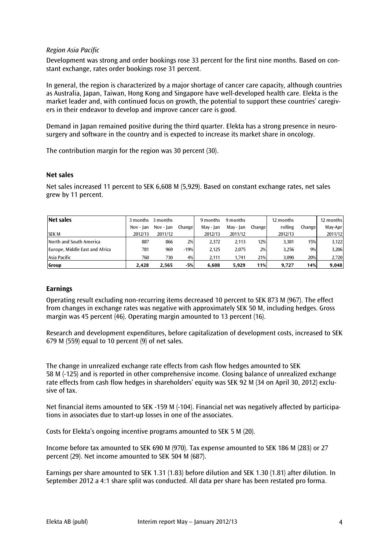# *Region Asia Pacific*

Development was strong and order bookings rose 33 percent for the first nine months. Based on constant exchange, rates order bookings rose 31 percent.

In general, the region is characterized by a major shortage of cancer care capacity, although countries as Australia, Japan, Taiwan, Hong Kong and Singapore have well-developed health care. Elekta is the market leader and, with continued focus on growth, the potential to support these countries' caregivers in their endeavor to develop and improve cancer care is good.

Demand in Japan remained positive during the third quarter. Elekta has a strong presence in neurosurgery and software in the country and is expected to increase its market share in oncology.

The contribution margin for the region was 30 percent (30).

# **Net sales**

Net sales increased 11 percent to SEK 6,608 M (5,929). Based on constant exchange rates, net sales grew by 11 percent.

| Net sales                      | 3 months  | 3 months  |         | 9 months  | 9 months  |        | 12 months |         | 12 months |
|--------------------------------|-----------|-----------|---------|-----------|-----------|--------|-----------|---------|-----------|
|                                | Nov - Ian | Nov - Ian | Changel | Mav - Ian | Mav - Ian | Change | rolling   | Changel | May-Apr   |
| <b>SEK M</b>                   | 2012/13   | 2011/12   |         | 2012/13   | 2011/12   |        | 2012/13   |         | 2011/12   |
| North and South America        | 887       | 866       | 2%      | 2.372     | 2.113     | 12%    | 3,381     | 15%     | 3,122     |
| Europe, Middle East and Africa | 781       | 969       | $-19%$  | 2.125     | 2.075     | 2%     | 3.256     | 9%      | 3,206     |
| Asia Pacific                   | 760       | 730       | 4%      | 2.111     | 1.741     | 21%    | 3.090     | 20%     | 2,720     |
| <b>Group</b>                   | 2.428     | 2.565     | $-5%$   | 6.608     | 5.929     | 11%    | 9.727     | 14%     | 9.048     |

#### **Earnings**

Operating result excluding non-recurring items decreased 10 percent to SEK 873 M (967). The effect from changes in exchange rates was negative with approximately SEK 50 M, including hedges. Gross margin was 45 percent (46). Operating margin amounted to 13 percent (16).

Research and development expenditures, before capitalization of development costs, increased to SEK 679 M (559) equal to 10 percent (9) of net sales.

The change in unrealized exchange rate effects from cash flow hedges amounted to SEK 58 M (-125) and is reported in other comprehensive income. Closing balance of unrealized exchange rate effects from cash flow hedges in shareholders' equity was SEK 92 M (34 on April 30, 2012) exclusive of tax.

Net financial items amounted to SEK -159 M (-104). Financial net was negatively affected by participations in associates due to start-up losses in one of the associates.

Costs for Elekta's ongoing incentive programs amounted to SEK 5 M (20).

Income before tax amounted to SEK 690 M (970). Tax expense amounted to SEK 186 M (283) or 27 percent (29). Net income amounted to SEK 504 M (687).

Earnings per share amounted to SEK 1.31 (1.83) before dilution and SEK 1.30 (1.81) after dilution. In September 2012 a 4:1 share split was conducted. All data per share has been restated pro forma.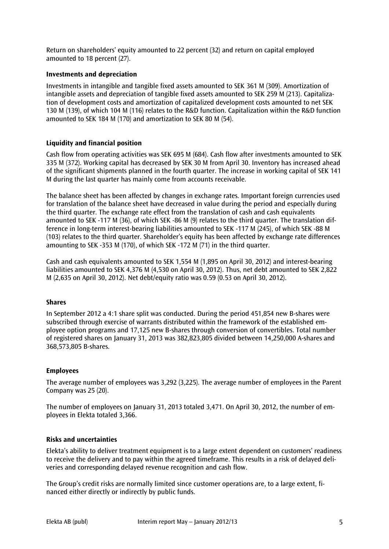Return on shareholders' equity amounted to 22 percent (32) and return on capital employed amounted to 18 percent (27).

# **Investments and depreciation**

Investments in intangible and tangible fixed assets amounted to SEK 361 M (309). Amortization of intangible assets and depreciation of tangible fixed assets amounted to SEK 259 M (213). Capitalization of development costs and amortization of capitalized development costs amounted to net SEK 130 M (139), of which 104 M (116) relates to the R&D function. Capitalization within the R&D function amounted to SEK 184 M (170) and amortization to SEK 80 M (54).

# **Liquidity and financial position**

Cash flow from operating activities was SEK 695 M (684). Cash flow after investments amounted to SEK 335 M (372). Working capital has decreased by SEK 30 M from April 30. Inventory has increased ahead of the significant shipments planned in the fourth quarter. The increase in working capital of SEK 141 M during the last quarter has mainly come from accounts receivable.

The balance sheet has been affected by changes in exchange rates. Important foreign currencies used for translation of the balance sheet have decreased in value during the period and especially during the third quarter. The exchange rate effect from the translation of cash and cash equivalents amounted to SEK -117 M (36), of which SEK -86 M (9) relates to the third quarter. The translation difference in long-term interest-bearing liabilities amounted to SEK -117 M (245), of which SEK -88 M (103) relates to the third quarter. Shareholder's equity has been affected by exchange rate differences amounting to SEK -353 M (170), of which SEK -172 M (71) in the third quarter.

Cash and cash equivalents amounted to SEK 1,554 M (1,895 on April 30, 2012) and interest-bearing liabilities amounted to SEK 4,376 M (4,530 on April 30, 2012). Thus, net debt amounted to SEK 2,822 M (2,635 on April 30, 2012). Net debt/equity ratio was 0.59 (0.53 on April 30, 2012).

#### **Shares**

In September 2012 a 4:1 share split was conducted. During the period 451,854 new B-shares were subscribed through exercise of warrants distributed within the framework of the established employee option programs and 17,125 new B-shares through conversion of convertibles. Total number of registered shares on January 31, 2013 was 382,823,805 divided between 14,250,000 A-shares and 368,573,805 B-shares.

#### **Employees**

The average number of employees was 3,292 (3,225). The average number of employees in the Parent Company was 25 (20).

The number of employees on January 31, 2013 totaled 3,471. On April 30, 2012, the number of employees in Elekta totaled 3,366.

#### **Risks and uncertainties**

Elekta's ability to deliver treatment equipment is to a large extent dependent on customers' readiness to receive the delivery and to pay within the agreed timeframe. This results in a risk of delayed deliveries and corresponding delayed revenue recognition and cash flow.

The Group's credit risks are normally limited since customer operations are, to a large extent, financed either directly or indirectly by public funds.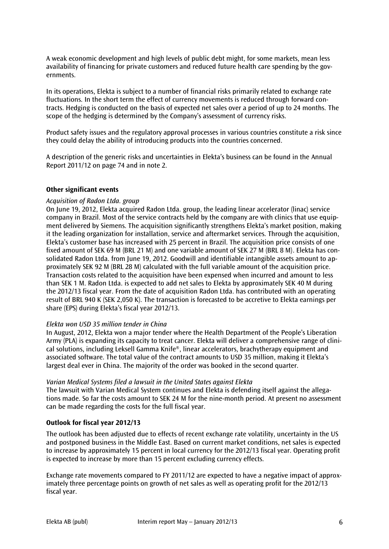A weak economic development and high levels of public debt might, for some markets, mean less availability of financing for private customers and reduced future health care spending by the governments.

In its operations, Elekta is subject to a number of financial risks primarily related to exchange rate fluctuations. In the short term the effect of currency movements is reduced through forward contracts. Hedging is conducted on the basis of expected net sales over a period of up to 24 months. The scope of the hedging is determined by the Company's assessment of currency risks.

Product safety issues and the regulatory approval processes in various countries constitute a risk since they could delay the ability of introducing products into the countries concerned.

A description of the generic risks and uncertainties in Elekta's business can be found in the Annual Report 2011/12 on page 74 and in note 2.

#### **Other significant events**

#### *Acquisition of Radon Ltda. group*

On June 19, 2012, Elekta acquired Radon Ltda. group, the leading linear accelerator (linac) service company in Brazil. Most of the service contracts held by the company are with clinics that use equipment delivered by Siemens. The acquisition significantly strengthens Elekta's market position, making it the leading organization for installation, service and aftermarket services. Through the acquisition, Elekta's customer base has increased with 25 percent in Brazil. The acquisition price consists of one fixed amount of SEK 69 M (BRL 21 M) and one variable amount of SEK 27 M (BRL 8 M). Elekta has consolidated Radon Ltda. from June 19, 2012. Goodwill and identifiable intangible assets amount to approximately SEK 92 M (BRL 28 M) calculated with the full variable amount of the acquisition price. Transaction costs related to the acquisition have been expensed when incurred and amount to less than SEK 1 M. Radon Ltda. is expected to add net sales to Elekta by approximately SEK 40 M during the 2012/13 fiscal year. From the date of acquisition Radon Ltda. has contributed with an operating result of BRL 940 K (SEK 2,050 K). The transaction is forecasted to be accretive to Elekta earnings per share (EPS) during Elekta's fiscal year 2012/13.

#### *Elekta won USD 35 million tender in China*

In August, 2012, Elekta won a major tender where the Health Department of the People's Liberation Army (PLA) is expanding its capacity to treat cancer. Elekta will deliver a comprehensive range of clinical solutions, including Leksell Gamma Knife®, linear accelerators, brachytherapy equipment and associated software. The total value of the contract amounts to USD 35 million, making it Elekta's largest deal ever in China. The majority of the order was booked in the second quarter.

#### *Varian Medical Systems filed a lawsuit in the United States against Elekta*

The lawsuit with Varian Medical System continues and Elekta is defending itself against the allegations made. So far the costs amount to SEK 24 M for the nine-month period. At present no assessment can be made regarding the costs for the full fiscal year.

#### **Outlook for fiscal year 2012/13**

The outlook has been adjusted due to effects of recent exchange rate volatility, uncertainty in the US and postponed business in the Middle East. Based on current market conditions, net sales is expected to increase by approximately 15 percent in local currency for the 2012/13 fiscal year. Operating profit is expected to increase by more than 15 percent excluding currency effects.

Exchange rate movements compared to FY 2011/12 are expected to have a negative impact of approximately three percentage points on growth of net sales as well as operating profit for the 2012/13 fiscal year.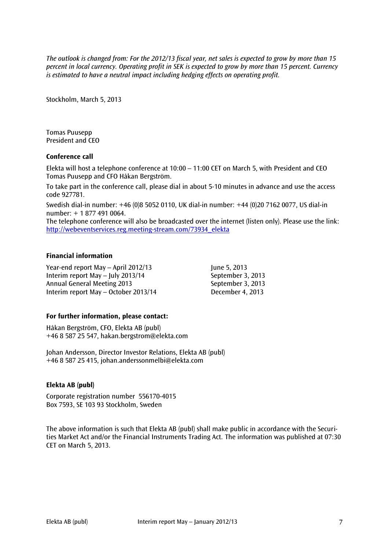*The outlook is changed from: For the 2012/13 fiscal year, net sales is expected to grow by more than 15 percent in local currency. Operating profit in SEK is expected to grow by more than 15 percent. Currency is estimated to have a neutral impact including hedging effects on operating profit.*

Stockholm, March 5, 2013

Tomas Puusepp President and CEO

#### **Conference call**

Elekta will host a telephone conference at 10:00 – 11:00 CET on March 5, with President and CEO Tomas Puusepp and CFO Håkan Bergström.

To take part in the conference call, please dial in about 5-10 minutes in advance and use the access code 927781.

Swedish dial-in number: +46 (0)8 5052 0110, UK dial-in number: +44 (0)20 7162 0077, US dial-in number: + 1 877 491 0064.

The telephone conference will also be broadcasted over the internet (listen only). Please use the link: [http://webeventservices.reg.meeting-stream.com/73934\\_elekta](http://webeventservices.reg.meeting-stream.com/73934_elekta)

#### **Financial information**

Year-end report May – April 2012/13 June 5, 2013 Interim report May – July 2013/14 September 3, 2013 Annual General Meeting 2013 September 3, 2013 Interim report May – October 2013/14 December 4, 2013

#### **For further information, please contact:**

Håkan Bergström, CFO, Elekta AB (publ) +46 8 587 25 547, hakan.bergstrom@elekta.com

Johan Andersson, Director Investor Relations, Elekta AB (publ) +46 8 587 25 415, [johan.anderssonmelbi@elekta.com](mailto:johan.anderssonmelbi@elekta.com)

# **Elekta AB (publ)**

Corporate registration number 556170-4015 Box 7593, SE 103 93 Stockholm, Sweden

The above information is such that Elekta AB (publ) shall make public in accordance with the Securities Market Act and/or the Financial Instruments Trading Act. The information was published at 07:30 CET on March 5, 2013.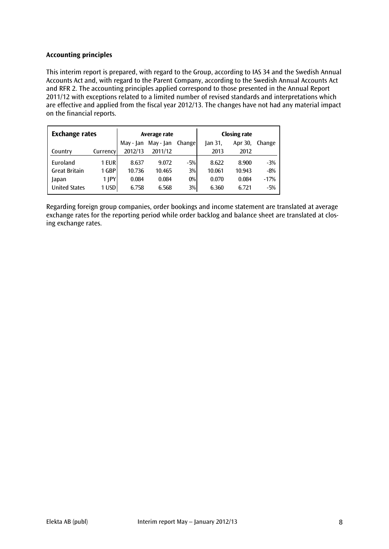# **Accounting principles**

This interim report is prepared, with regard to the Group, according to IAS 34 and the Swedish Annual Accounts Act and, with regard to the Parent Company, according to the Swedish Annual Accounts Act and RFR 2. The accounting principles applied correspond to those presented in the Annual Report 2011/12 with exceptions related to a limited number of revised standards and interpretations which are effective and applied from the fiscal year 2012/13. The changes have not had any material impact on the financial reports.

| <b>Exchange rates</b> |          |           | Average rate |        | <b>Closing rate</b> |         |        |  |
|-----------------------|----------|-----------|--------------|--------|---------------------|---------|--------|--|
|                       |          | May - Jan | May - Jan    | Change | Jan 31,             | Apr 30, | Change |  |
| Country               | Currency | 2012/13   | 2011/12      |        | 2013                | 2012    |        |  |
| Euroland              | 1 EUR    | 8.637     | 9.072        | $-5%$  | 8.622               | 8.900   | $-3%$  |  |
| <b>Great Britain</b>  | 1 GBP    | 10.736    | 10.465       | 3%     | 10.061              | 10.943  | $-8%$  |  |
| Japan                 | 1 JPY    | 0.084     | 0.084        | $0\%$  | 0.070               | 0.084   | $-17%$ |  |
| <b>United States</b>  | 1 USD    | 6.758     | 6.568        | 3%     | 6.360               | 6.721   | $-5%$  |  |

Regarding foreign group companies, order bookings and income statement are translated at average exchange rates for the reporting period while order backlog and balance sheet are translated at closing exchange rates.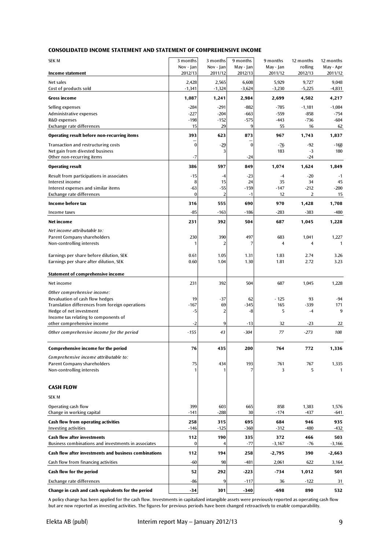#### **CONSOLIDATED INCOME STATEMENT AND STATEMENT OF COMPREHENSIVE INCOME**

| <b>SEK M</b>                                                                              | 3 months             | 3 months             | 9 months             | 9 months             | 12 months          | 12 months            |
|-------------------------------------------------------------------------------------------|----------------------|----------------------|----------------------|----------------------|--------------------|----------------------|
| <b>Income statement</b>                                                                   | Nov - Jan<br>2012/13 | Nov - Jan<br>2011/12 | May - Jan<br>2012/13 | May - Jan<br>2011/12 | rolling<br>2012/13 | May - Apr<br>2011/12 |
| Net sales<br>Cost of products sold                                                        | 2,428<br>$-1,341$    | 2,565<br>$-1,324$    | 6,608<br>$-3,624$    | 5,929<br>$-3,230$    | 9,727<br>$-5,225$  | 9,048<br>$-4,831$    |
| Gross income                                                                              | 1,087                | 1,241                | 2,984                | 2,699                | 4,502              | 4,217                |
| Selling expenses<br>Administrative expenses                                               | $-284$<br>$-227$     | $-291$<br>$-204$     | $-882$<br>$-663$     | -785<br>$-559$       | $-1,181$<br>$-858$ | $-1,084$<br>$-754$   |
| R&D expenses                                                                              | $-198$               | $-152$               | $-575$               | $-443$               | $-736$             | $-604$               |
| Exchange rate differences                                                                 | 15                   | 29                   | 9                    | 55                   | 16                 | 62                   |
| Operating result before non-recurring items                                               | 393                  | 623                  | 873                  | 967                  | 1,743              | 1,837                |
| Transaction and restructuring costs<br>Net gain from divested business                    | $\bf{0}$             | $-29$                | $\bf{0}$             | $-76$<br>183         | $-92$<br>$-3$      | $-168$<br>180        |
| Other non-recurring items                                                                 | -7                   |                      | $-24$                |                      | $-24$              |                      |
| <b>Operating result</b>                                                                   | 386                  | 597                  | 849                  | 1,074                | 1,624              | 1,849                |
| Result from participations in associates<br>Interest income                               | $-15$<br>8           | $-4$<br>15           | $-23$<br>24          | $-4$<br>35           | $-20$<br>34        | $-1$<br>45           |
| Interest expenses and similar items                                                       | $-63$                | $-55$                | $-159$               | $-147$               | $-212$             | $-200$               |
| Exchange rate differences                                                                 | $\bf{0}$             | $\overline{2}$       | $-1$                 | 12                   | 2                  | 15                   |
| Income before tax                                                                         | 316                  | 555                  | 690                  | 970                  | 1,428              | 1,708                |
| Income taxes                                                                              | $-85$                | $-163$               | -186                 | -283                 | $-383$             | $-480$               |
| Net income                                                                                | 231                  | 392                  | 504                  | 687                  | 1,045              | 1,228                |
| Net income attributable to:                                                               |                      |                      |                      |                      |                    |                      |
| Parent Company shareholders                                                               | 230                  | 390                  | 497                  | 683                  | 1,041              | 1,227                |
| Non-controlling interests                                                                 | 1                    | 2                    | 7                    | 4                    | 4                  | $\mathbf{1}$         |
| Earnings per share before dilution, SEK                                                   | 0.61                 | 1.05                 | 1.31                 | 1.83                 | 2.74               | 3.26                 |
| Earnings per share after dilution, SEK                                                    | 0.60                 | 1.04                 | 1.30                 | 1.81                 | 2.72               | 3.23                 |
| <b>Statement of comprehensive income</b>                                                  |                      |                      |                      |                      |                    |                      |
| Net income                                                                                | 231                  | 392                  | 504                  | 687                  | 1,045              | 1,228                |
| Other comprehensive income:                                                               |                      |                      |                      |                      |                    |                      |
| Revaluation of cash flow hedges<br>Translation differences from foreign operations        | 19<br>-167           | $-37$<br>69          | 62<br>$-345$         | $-125$<br>165        | 93<br>-339         | $-94$<br>171         |
| Hedge of net investment                                                                   | -5                   | $\overline{2}$       | -8                   | 5                    | $-4$               | 9                    |
| Income tax relating to components of                                                      |                      |                      |                      |                      |                    |                      |
| other comprehensive income                                                                | -2                   | 9                    | $-13$                | 32                   | $-23$              | 22                   |
| Other comprehensive income for the period                                                 | $-155$               | 43                   | $-304$               | 77                   | $-273$             | 108                  |
| Comprehensive income for the period                                                       | 76                   | 435                  | 200                  | 764                  | 772                | 1,336                |
| Comprehensive income attributable to:                                                     |                      |                      |                      |                      |                    |                      |
| Parent Company shareholders<br>Non-controlling interests                                  | 75                   | 434                  | 193                  | 761<br>3             | 767<br>5           | 1,335<br>1           |
|                                                                                           |                      |                      |                      |                      |                    |                      |
| <b>CASH FLOW</b>                                                                          |                      |                      |                      |                      |                    |                      |
| <b>SEK M</b>                                                                              |                      |                      |                      |                      |                    |                      |
| Operating cash flow                                                                       | 399                  | 603                  | 665                  | 858                  | 1,383              | 1,576                |
| Change in working capital                                                                 | $-141$               | $-288$               | 30                   | $-174$               | $-437$             | $-641$               |
| <b>Cash flow from operating activities</b>                                                | 258<br>$-146$        | 315<br>$-125$        | 695                  | 684<br>$-312$        | 946<br>$-480$      | 935                  |
| <b>Investing activities</b>                                                               |                      |                      | -360                 |                      |                    | $-432$               |
| <b>Cash flow after investments</b><br>Business combinations and investments in associates | 112<br>$\bf{0}$      | 190                  | 335<br>$-77$         | 372<br>$-3,167$      | 466<br>-76         | 503<br>$-3,166$      |
| Cash flow after investments and business combinations                                     | 112                  | 194                  | 258                  | $-2,795$             | 390                | $-2,663$             |
| Cash flow from financing activities                                                       | $-60$                | 98                   | $-481$               | 2,061                | 622                | 3,164                |
| Cash flow for the period                                                                  | 52                   | 292                  | -223                 | $-734$               | 1,012              | 501                  |
| Exchange rate differences                                                                 | -86                  | 9                    | $-117$               | 36                   | $-122$             | 31                   |
| Change in cash and cash equivalents for the period                                        | $-34$                | 301                  | $-340$               | -698                 | 890                | 532                  |

A policy change has been applied for the cash flow. Investments in capitalized intangible assets were previously reported as operating cash flow but are now reported as investing activities. The figures for previous periods have been changed retroactively to enable comparability.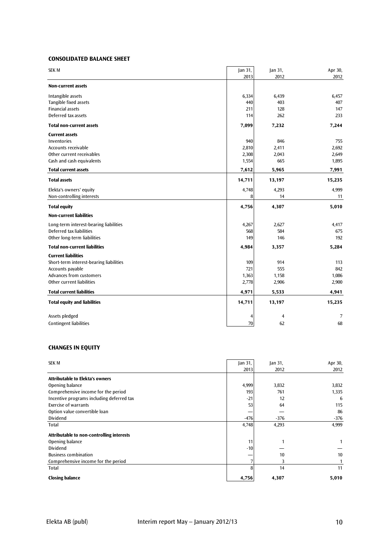#### **CONSOLIDATED BALANCE SHEET**

| 2013<br>2012<br>2012<br><b>Non-current assets</b><br>Intangible assets<br>6,334<br>6,439<br>6,457<br>Tangible fixed assets<br>440<br>403<br>407<br><b>Financial assets</b><br>211<br>128<br>147<br>Deferred tax assets<br>114<br>262<br>233<br><b>Total non-current assets</b><br>7,099<br>7,232<br>7,244<br><b>Current assets</b><br>940<br>846<br><b>Inventories</b><br>755<br>2,810<br>2,411<br>2,692<br>Accounts receivable<br>Other current receivables<br>2,308<br>2,043<br>2,649<br>665<br>Cash and cash equivalents<br>1,554<br>1,895<br><b>Total current assets</b><br>5,965<br>7,991<br>7,612<br><b>Total assets</b><br>14,711<br>13,197<br>15,235<br>Elekta's owners' equity<br>4,748<br>4,293<br>4,999<br>Non-controlling interests<br>8<br>14<br>11<br>5,010<br><b>Total equity</b><br>4,756<br>4,307<br><b>Non-current liabilities</b><br>2,627<br>Long-term interest-bearing liabilities<br>4,267<br>4,417<br>Deferred tax liabilities<br>568<br>584<br>675<br>Other long-term liabilities<br>149<br>146<br>192<br><b>Total non-current liabilities</b><br>4,984<br>3,357<br>5,284<br><b>Current liabilities</b><br>Short-term interest-bearing liabilities<br>109<br>914<br>113<br>721<br>Accounts payable<br>555<br>842<br>Advances from customers<br>1,363<br>1,158<br>1,086<br>Other current liabilities<br>2,778<br>2,906<br>2,900<br><b>Total current liabilities</b><br>4,971<br>5,533<br>4,941<br><b>Total equity and liabilities</b><br>14,711<br>15,235<br>13,197<br>Assets pledged<br>$\overline{\mathbf{4}}$<br>7<br>4<br>70<br><b>Contingent liabilities</b><br>62<br>68 | <b>SEK M</b> | Jan 31, | Jan 31, | Apr 30, |
|------------------------------------------------------------------------------------------------------------------------------------------------------------------------------------------------------------------------------------------------------------------------------------------------------------------------------------------------------------------------------------------------------------------------------------------------------------------------------------------------------------------------------------------------------------------------------------------------------------------------------------------------------------------------------------------------------------------------------------------------------------------------------------------------------------------------------------------------------------------------------------------------------------------------------------------------------------------------------------------------------------------------------------------------------------------------------------------------------------------------------------------------------------------------------------------------------------------------------------------------------------------------------------------------------------------------------------------------------------------------------------------------------------------------------------------------------------------------------------------------------------------------------------------------------------------------------------------------------|--------------|---------|---------|---------|
|                                                                                                                                                                                                                                                                                                                                                                                                                                                                                                                                                                                                                                                                                                                                                                                                                                                                                                                                                                                                                                                                                                                                                                                                                                                                                                                                                                                                                                                                                                                                                                                                      |              |         |         |         |
|                                                                                                                                                                                                                                                                                                                                                                                                                                                                                                                                                                                                                                                                                                                                                                                                                                                                                                                                                                                                                                                                                                                                                                                                                                                                                                                                                                                                                                                                                                                                                                                                      |              |         |         |         |
|                                                                                                                                                                                                                                                                                                                                                                                                                                                                                                                                                                                                                                                                                                                                                                                                                                                                                                                                                                                                                                                                                                                                                                                                                                                                                                                                                                                                                                                                                                                                                                                                      |              |         |         |         |
|                                                                                                                                                                                                                                                                                                                                                                                                                                                                                                                                                                                                                                                                                                                                                                                                                                                                                                                                                                                                                                                                                                                                                                                                                                                                                                                                                                                                                                                                                                                                                                                                      |              |         |         |         |
|                                                                                                                                                                                                                                                                                                                                                                                                                                                                                                                                                                                                                                                                                                                                                                                                                                                                                                                                                                                                                                                                                                                                                                                                                                                                                                                                                                                                                                                                                                                                                                                                      |              |         |         |         |
|                                                                                                                                                                                                                                                                                                                                                                                                                                                                                                                                                                                                                                                                                                                                                                                                                                                                                                                                                                                                                                                                                                                                                                                                                                                                                                                                                                                                                                                                                                                                                                                                      |              |         |         |         |
|                                                                                                                                                                                                                                                                                                                                                                                                                                                                                                                                                                                                                                                                                                                                                                                                                                                                                                                                                                                                                                                                                                                                                                                                                                                                                                                                                                                                                                                                                                                                                                                                      |              |         |         |         |
|                                                                                                                                                                                                                                                                                                                                                                                                                                                                                                                                                                                                                                                                                                                                                                                                                                                                                                                                                                                                                                                                                                                                                                                                                                                                                                                                                                                                                                                                                                                                                                                                      |              |         |         |         |
|                                                                                                                                                                                                                                                                                                                                                                                                                                                                                                                                                                                                                                                                                                                                                                                                                                                                                                                                                                                                                                                                                                                                                                                                                                                                                                                                                                                                                                                                                                                                                                                                      |              |         |         |         |
|                                                                                                                                                                                                                                                                                                                                                                                                                                                                                                                                                                                                                                                                                                                                                                                                                                                                                                                                                                                                                                                                                                                                                                                                                                                                                                                                                                                                                                                                                                                                                                                                      |              |         |         |         |
|                                                                                                                                                                                                                                                                                                                                                                                                                                                                                                                                                                                                                                                                                                                                                                                                                                                                                                                                                                                                                                                                                                                                                                                                                                                                                                                                                                                                                                                                                                                                                                                                      |              |         |         |         |
|                                                                                                                                                                                                                                                                                                                                                                                                                                                                                                                                                                                                                                                                                                                                                                                                                                                                                                                                                                                                                                                                                                                                                                                                                                                                                                                                                                                                                                                                                                                                                                                                      |              |         |         |         |
|                                                                                                                                                                                                                                                                                                                                                                                                                                                                                                                                                                                                                                                                                                                                                                                                                                                                                                                                                                                                                                                                                                                                                                                                                                                                                                                                                                                                                                                                                                                                                                                                      |              |         |         |         |
|                                                                                                                                                                                                                                                                                                                                                                                                                                                                                                                                                                                                                                                                                                                                                                                                                                                                                                                                                                                                                                                                                                                                                                                                                                                                                                                                                                                                                                                                                                                                                                                                      |              |         |         |         |
|                                                                                                                                                                                                                                                                                                                                                                                                                                                                                                                                                                                                                                                                                                                                                                                                                                                                                                                                                                                                                                                                                                                                                                                                                                                                                                                                                                                                                                                                                                                                                                                                      |              |         |         |         |
|                                                                                                                                                                                                                                                                                                                                                                                                                                                                                                                                                                                                                                                                                                                                                                                                                                                                                                                                                                                                                                                                                                                                                                                                                                                                                                                                                                                                                                                                                                                                                                                                      |              |         |         |         |
|                                                                                                                                                                                                                                                                                                                                                                                                                                                                                                                                                                                                                                                                                                                                                                                                                                                                                                                                                                                                                                                                                                                                                                                                                                                                                                                                                                                                                                                                                                                                                                                                      |              |         |         |         |
|                                                                                                                                                                                                                                                                                                                                                                                                                                                                                                                                                                                                                                                                                                                                                                                                                                                                                                                                                                                                                                                                                                                                                                                                                                                                                                                                                                                                                                                                                                                                                                                                      |              |         |         |         |
|                                                                                                                                                                                                                                                                                                                                                                                                                                                                                                                                                                                                                                                                                                                                                                                                                                                                                                                                                                                                                                                                                                                                                                                                                                                                                                                                                                                                                                                                                                                                                                                                      |              |         |         |         |
|                                                                                                                                                                                                                                                                                                                                                                                                                                                                                                                                                                                                                                                                                                                                                                                                                                                                                                                                                                                                                                                                                                                                                                                                                                                                                                                                                                                                                                                                                                                                                                                                      |              |         |         |         |
|                                                                                                                                                                                                                                                                                                                                                                                                                                                                                                                                                                                                                                                                                                                                                                                                                                                                                                                                                                                                                                                                                                                                                                                                                                                                                                                                                                                                                                                                                                                                                                                                      |              |         |         |         |
|                                                                                                                                                                                                                                                                                                                                                                                                                                                                                                                                                                                                                                                                                                                                                                                                                                                                                                                                                                                                                                                                                                                                                                                                                                                                                                                                                                                                                                                                                                                                                                                                      |              |         |         |         |
|                                                                                                                                                                                                                                                                                                                                                                                                                                                                                                                                                                                                                                                                                                                                                                                                                                                                                                                                                                                                                                                                                                                                                                                                                                                                                                                                                                                                                                                                                                                                                                                                      |              |         |         |         |
|                                                                                                                                                                                                                                                                                                                                                                                                                                                                                                                                                                                                                                                                                                                                                                                                                                                                                                                                                                                                                                                                                                                                                                                                                                                                                                                                                                                                                                                                                                                                                                                                      |              |         |         |         |
|                                                                                                                                                                                                                                                                                                                                                                                                                                                                                                                                                                                                                                                                                                                                                                                                                                                                                                                                                                                                                                                                                                                                                                                                                                                                                                                                                                                                                                                                                                                                                                                                      |              |         |         |         |
|                                                                                                                                                                                                                                                                                                                                                                                                                                                                                                                                                                                                                                                                                                                                                                                                                                                                                                                                                                                                                                                                                                                                                                                                                                                                                                                                                                                                                                                                                                                                                                                                      |              |         |         |         |
|                                                                                                                                                                                                                                                                                                                                                                                                                                                                                                                                                                                                                                                                                                                                                                                                                                                                                                                                                                                                                                                                                                                                                                                                                                                                                                                                                                                                                                                                                                                                                                                                      |              |         |         |         |
|                                                                                                                                                                                                                                                                                                                                                                                                                                                                                                                                                                                                                                                                                                                                                                                                                                                                                                                                                                                                                                                                                                                                                                                                                                                                                                                                                                                                                                                                                                                                                                                                      |              |         |         |         |
|                                                                                                                                                                                                                                                                                                                                                                                                                                                                                                                                                                                                                                                                                                                                                                                                                                                                                                                                                                                                                                                                                                                                                                                                                                                                                                                                                                                                                                                                                                                                                                                                      |              |         |         |         |
|                                                                                                                                                                                                                                                                                                                                                                                                                                                                                                                                                                                                                                                                                                                                                                                                                                                                                                                                                                                                                                                                                                                                                                                                                                                                                                                                                                                                                                                                                                                                                                                                      |              |         |         |         |
|                                                                                                                                                                                                                                                                                                                                                                                                                                                                                                                                                                                                                                                                                                                                                                                                                                                                                                                                                                                                                                                                                                                                                                                                                                                                                                                                                                                                                                                                                                                                                                                                      |              |         |         |         |

# **CHANGES IN EQUITY**

| <b>SEK M</b>                              | $ an 31$ , | an 31  | Apr 30, |
|-------------------------------------------|------------|--------|---------|
|                                           | 2013       | 2012   | 2012    |
| <b>Attributable to Elekta's owners</b>    |            |        |         |
| Opening balance                           | 4,999      | 3,832  | 3,832   |
| Comprehensive income for the period       | 193        | 761    | 1,335   |
| Incentive programs including deferred tax | $-21$      | 12     | 6       |
| <b>Exercise of warrants</b>               | 53         | 64     | 115     |
| Option value convertible loan             |            |        | 86      |
| Dividend                                  | $-476$     | $-376$ | $-376$  |
| <b>Total</b>                              | 4,748      | 4,293  | 4,999   |
| Attributable to non-controlling interests |            |        |         |
| Opening balance                           | 11         |        |         |
| Dividend                                  | $-10$      |        |         |
| <b>Business combination</b>               |            | 10     | 10      |
| Comprehensive income for the period       |            | 3      |         |
| Total                                     | 8          | 14     | 11      |
| <b>Closing balance</b>                    | 4,756      | 4,307  | 5,010   |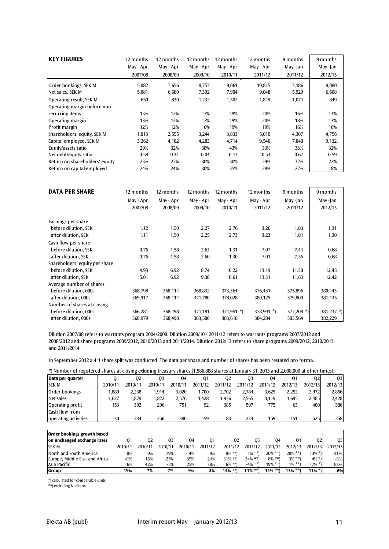| <b>KEY FIGURES</b>                                      | 12 months      | 12 months      | 12 months      | 12 months            | 12 months       | 9 months       | 9 months       |
|---------------------------------------------------------|----------------|----------------|----------------|----------------------|-----------------|----------------|----------------|
|                                                         | May - Apr      | May - Apr      | May - Apr      | May - Apr            | May - Apr       | May-Jan        | May -Jan       |
|                                                         | 2007/08        | 2008/09        | 2009/10        | 2010/11              | 2011/12         | 2011/12        | 2012/13        |
| Order bookings, SEK M<br>Net sales, SEK M               | 5,882<br>5,081 | 7,656<br>6,689 | 8,757<br>7,392 | ᠊ᠣ<br>9,061<br>7,904 | 10,815<br>9,048 | 7,186<br>5,929 | 8,080<br>6,608 |
| Operating result, SEK M<br>Operating margin before non- | 650            | 830            | 1,232          | 1,502                | 1,849           | 1,074          | 849            |
| recurring items                                         | 13%            | 12%            | 17%            | 19%                  | 20%             | 16%            | 13%            |
| Operating margin                                        | 13%            | 12%            | 17%            | 19%                  | 20%             | 18%            | 13%            |
| Profit margin                                           | 12%            | 12%            | 16%            | 19%                  | 19%             | 16%            | 10%            |
| Shareholders' equity, SEK M                             | 1,813          | 2,555          | 3.244          | 3,833                | 5,010           | 4,307          | 4,756          |
| Capital employed, SEK M                                 | 3,262          | 4,182          | 4,283          | 4,714                | 9,540           | 7,848          | 9,132          |
| Equity/assets ratio                                     | 29%            | 32%            | 38%            | 43%                  | 33%             | 33%            | 32%            |
| Net debt/equity ratio                                   | 0.58           | 0.31           | $-0.04$        | $-0.13$              | 0.53            | 0.67           | 0.59           |
| Return on shareholders' equity                          | 23%            | 27%            | 30%            | 30%                  | 29%             | 32%            | 22%            |
| Return on capital employed                              | 24%            | 24%            | 30%            | 35%                  | 28%             | 27%            | 18%            |

| <b>DATA PER SHARE</b>          | 12 months | 12 months | 12 months | 12 months    | 12 months  | 9 months      | 9 months      |
|--------------------------------|-----------|-----------|-----------|--------------|------------|---------------|---------------|
|                                | May - Apr | May - Apr | May - Apr | May - Apr    | May - Apr  | May -Jan      | May-Jan       |
|                                | 2007/08   | 2008/09   | 2009/10   | 2010/11      | 2011/12    | 2011/12       | 2012/13       |
| Earnings per share             |           |           |           |              |            |               |               |
| before dilution, SEK           | 1.12      | 1.50      | 2.27      | 2.76         | 3.26       | 1.83          | 1.31          |
| after dilution, SEK            | 1.11      | 1.50      | 2.25      | 2.73         | 3.23       | 1.81          | 1.30          |
| Cash flow per share            |           |           |           |              |            |               |               |
| before dilution, SEK           | $-0.76$   | 1.58      | 2.63      | 1.31         | $-7.07$    | $-7.44$       | 0.68          |
| after dilution, SEK            | $-0.76$   | 1.58      | 2.60      | 1.30         | $-7.01$    | $-7.36$       | 0.68          |
| Shareholders' equity per share |           |           |           |              |            |               |               |
| before dilution, SEK           | 4.93      | 6.92      | 8.74      | 10.22        | 13.19      | 11.38         | 12.45         |
| after dilution, SEK            | 5.01      | 6.92      | 9.38      | 10.61        | 13.31      | 11.63         | 12.42         |
| Average number of shares       |           |           |           |              |            |               |               |
| before dilution, 000s          | 368,798   | 368,114   | 368,832   | 373,364      | 376,431    | 375,896       | 380,443       |
| after dilution, 000s           | 369,917   | 368,114   | 371,780   | 378,028      | 380,125    | 379,800       | 381,435       |
| Number of shares at closing    |           |           |           |              |            |               |               |
| before dilution, 000s          | 366,281   | 368,498   | 371,181   | $374,951$ *) | 378,991 *) | 377,208 $*$ ) | 381,237 $*$ ) |
| after dilution, 000s           | 368,979   | 368,498   | 383,580   | 383,618      | 384,284    | 383,564       | 382,229       |

Dilution 2007/08 refers to warrants program 2004/2008. Dilution 2009/10 - 2011/12 refers to warrants programs 2007/2012 and 2008/2012 and share programs 2009/2012, 2010/2013 and 2011/2014. Dilution 2012/13 refers to share programs 2009/2012, 2010/2013 and 2011/2014.

In September 2012 a 4:1 share split was conducted. The data per share and number of shares has been restated pro forma.

| *) Number of registered shares at closing exluding treasury shares (1,586,888 shares at January 31, 2013 and 2,008,000 at other times). |  |  |
|-----------------------------------------------------------------------------------------------------------------------------------------|--|--|
|                                                                                                                                         |  |  |
|                                                                                                                                         |  |  |

| -Number of registered shares at closing exideing treasury shares (1,586,888 shares at January 31, 2013 and 2,008,000 at Other times). |         |                |                |                |         |                |                |                |              |                |                |                |
|---------------------------------------------------------------------------------------------------------------------------------------|---------|----------------|----------------|----------------|---------|----------------|----------------|----------------|--------------|----------------|----------------|----------------|
| Data per quarter                                                                                                                      | 01      |                | Q <sub>2</sub> | Q <sub>3</sub> | 04      | Q <sub>1</sub> | Q <sub>2</sub> | Q <sub>3</sub> | 04           | Q <sub>1</sub> | Q <sub>2</sub> | 03             |
| <b>SEK M</b>                                                                                                                          | 2010/11 | 2010/11        |                | 2010/11        | 2010/11 | 2011/12        | 2011/12        | 2011/12        | 2011/12      | 2012/13        | 2012/13        | 2012/13        |
| Order bookings                                                                                                                        | 1,889   | 2,238          |                | 1,914          | 3,020   | 1,700          | 2,702          | 2,784          | 3,629        | 2,252          | 2,972          | 2,856          |
| Net sales                                                                                                                             | 1,627   | 1,879          |                | 1,822          | 2,576   | 1,428          | 1,936          | 2,565          | 3,119        | 1,695          | 2,485          | 2,428          |
| Operating profit                                                                                                                      | 153     |                | 302            | 296            | 751     | 92             | 385            | 597            | 775          | 63             | 400            | 386            |
| <b>Cash flow from</b>                                                                                                                 |         |                |                |                |         |                |                |                |              |                |                |                |
| operating activities                                                                                                                  | -30     |                | 234            | 256            | 380     | 159            | 83             | 234            | 159          | $-151$         | 525            | 258            |
|                                                                                                                                       |         |                |                |                |         |                |                |                |              |                |                |                |
| Order bookings growth based                                                                                                           |         |                |                |                |         |                |                |                |              |                |                |                |
| on unchanged exchange rates                                                                                                           |         | Q <sub>1</sub> | Q <sub>2</sub> | 03             |         | Q4<br>Q1       |                | Q <sub>2</sub> | 03<br>04     | 01             | Q <sub>2</sub> | Q <sub>3</sub> |
| <b>SEK M</b>                                                                                                                          |         | 2010/11        | 2010/11        | 2010/11        | 2010/11 | 2011/12        | 2011/12        | 2011/12        | 2011/12      | 2012/13        | 2012/13        | 2012/13        |
| North and South America                                                                                                               |         | 0%             | 9%             | 79%            | $-14%$  | 9%             | $8\%$ **)      | $1\% * *$      | $20\% * *$ ) | $28\% * *$ )   | $13\%$ *)      | $-11%$         |
| Europe, Middle East and Africa                                                                                                        |         | 41%            | $-16%$         | $-25%$         |         | 35%<br>$-24%$  | $31\% *$       | $34\% * *$     | $-8\% *$     | $-3\% **$      | $4\% *$        | $-5%$          |
| Asia Pacific                                                                                                                          |         | 16%            | 42%            | $-5%$          |         | 38%<br>25%     | $6\%$ **)      | $-4\% *$       | $19\% **$    | $11\%$ **)     | $17\%$ *)      | 53%            |
| Group                                                                                                                                 |         | 19%            | 7%             | 7%             |         | 9%<br>2%       | 14% **)        | $11\%$ **)     | $11\% *$     | $13\%$ **)     | $11\%$ *)      | 6%             |

\*) calculated for comparable units

\*\*) excluding Nucletron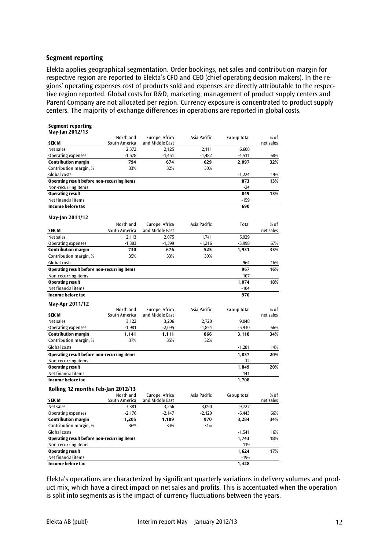#### **Segment reporting**

Elekta applies geographical segmentation. Order bookings, net sales and contribution margin for respective region are reported to Elekta's CFO and CEO (chief operating decision makers). In the regions' operating expenses cost of products sold and expenses are directly attributable to the respective region reported. Global costs for R&D, marketing, management of product supply centers and Parent Company are not allocated per region. Currency exposure is concentrated to product supply centers. The majority of exchange differences in operations are reported in global costs.

| <b>Segment reporting</b>                           |               |                 |              |             |           |
|----------------------------------------------------|---------------|-----------------|--------------|-------------|-----------|
| May-Jan 2012/13                                    | North and     | Europe, Africa  | Asia Pacific | Group total | $%$ of    |
| SEK M                                              | South America | and Middle East |              |             | net sales |
| Net sales                                          | 2,372         | 2,125           | 2,111        | 6,608       |           |
| Operating expenses                                 | $-1,578$      | $-1,451$        | $-1,482$     | $-4,511$    | 68%       |
| <b>Contribution margin</b>                         | 794           | 674             | 629          | 2,097       | 32%       |
| Contribution margin, %                             | 33%           | 32%             | 30%          |             |           |
| Global costs                                       |               |                 |              | $-1,224$    | 19%       |
| <b>Operating result before non-recurring items</b> |               |                 |              | 873         | 13%       |
| Non-recurring items                                |               |                 |              | $-24$       |           |
| <b>Operating result</b>                            |               |                 |              | 849         | 13%       |
| Net financial items                                |               |                 |              | $-159$      |           |
| Income before tax                                  |               |                 |              | 690         |           |
|                                                    |               |                 |              |             |           |
| May-Jan 2011/12                                    |               |                 |              |             |           |
|                                                    | North and     | Europe, Africa  | Asia Pacific | Total       | % of      |
| SEK M                                              | South America | and Middle East |              |             | net sales |
| Net sales                                          | 2,113         | 2,075           | 1,741        | 5,929       |           |
| Operating expenses                                 | $-1,383$      | $-1,399$        | $-1,216$     | $-3,998$    | 67%       |
| <b>Contribution margin</b>                         | 730           | 676             | 525          | 1,931       | 33%       |
| Contribution margin, %                             | 35%           | 33%             | 30%          |             |           |
| Global costs                                       |               |                 |              | $-964$      | 16%       |
| <b>Operating result before non-recurring items</b> |               |                 |              | 967         | 16%       |
| Non-recurring items                                |               |                 |              | 107         |           |
| <b>Operating result</b>                            |               |                 |              | 1,074       | 18%       |
| Net financial items                                |               |                 |              | $-104$      |           |
| Income before tax                                  |               |                 |              | 970         |           |
| May-Apr 2011/12                                    |               |                 |              |             |           |
|                                                    | North and     | Europe, Africa  | Asia Pacific | Group total | $%$ of    |
| SEK M                                              | South America | and Middle East |              |             | net sales |
| Net sales                                          | 3,122         | 3,206           | 2,720        | 9,048       |           |
| <b>Operating expenses</b>                          | $-1,981$      | $-2,095$        | $-1,854$     | $-5,930$    | 66%       |
| <b>Contribution margin</b>                         | 1,141         | 1,111           | 866          | 3,118       | 34%       |
| Contribution margin, %                             | 37%           | 35%             | 32%          |             |           |
| Global costs                                       |               |                 |              | $-1,281$    | 14%       |
| Operating result before non-recurring items        |               |                 |              | 1,837       | 20%       |
| Non-recurring items                                |               |                 |              | 12          |           |
| <b>Operating result</b>                            |               |                 |              | 1,849       | 20%       |
| Net financial items                                |               |                 |              | -141        |           |
| Income before tax                                  |               |                 |              | 1,708       |           |
| Rolling 12 months Feb-Jan 2012/13                  |               |                 |              |             |           |
|                                                    | North and     | Europe, Africa  | Asia Pacific | Group total | % of      |
| <b>SEKM</b>                                        | South America | and Middle East |              |             | net sales |
| Net sales                                          | 3,381         | 3,256           | 3,090        | 9,727       |           |
| <b>Operating expenses</b>                          | $-2,176$      | $-2,147$        | $-2,120$     | $-6,443$    | 66%       |
| <b>Contribution margin</b>                         | 1,205         | 1,109           | 970          | 3,284       | 34%       |
| Contribution margin, %                             | 36%           | 34%             | 31%          |             |           |
| Global costs                                       |               |                 |              | $-1,541$    | 16%       |
| Operating result before non-recurring items        |               |                 |              | 1,743       | 18%       |
| Non-recurring items                                |               |                 |              | $-119$      |           |
| <b>Operating result</b>                            |               |                 |              | 1,624       | 17%       |
| Net financial items                                |               |                 |              | $-196$      |           |
| Income before tax                                  |               |                 |              | 1,428       |           |

Elekta's operations are characterized by significant quarterly variations in delivery volumes and product mix, which have a direct impact on net sales and profits. This is accentuated when the operation is split into segments as is the impact of currency fluctuations between the years.